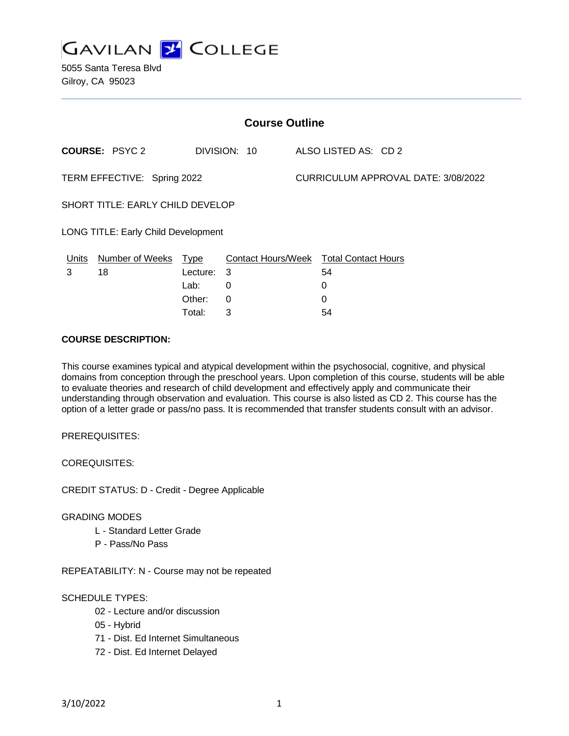

| <b>Course Outline</b>               |                       |          |              |  |                                               |  |
|-------------------------------------|-----------------------|----------|--------------|--|-----------------------------------------------|--|
|                                     | <b>COURSE: PSYC 2</b> |          | DIVISION: 10 |  | ALSO LISTED AS: CD 2                          |  |
| TERM EFFECTIVE: Spring 2022         |                       |          |              |  | CURRICULUM APPROVAL DATE: 3/08/2022           |  |
| SHORT TITLE: EARLY CHILD DEVELOP    |                       |          |              |  |                                               |  |
| LONG TITLE: Early Child Development |                       |          |              |  |                                               |  |
| <u>Units</u>                        | Number of Weeks Type  |          |              |  | <b>Contact Hours/Week Total Contact Hours</b> |  |
| 3                                   | 18                    | Lecture: | -3           |  | 54                                            |  |
|                                     |                       | Lab:     | 0            |  | 0                                             |  |
|                                     |                       | Other:   | $\Omega$     |  | 0                                             |  |
|                                     |                       | Total:   | 3            |  | 54                                            |  |

#### **COURSE DESCRIPTION:**

This course examines typical and atypical development within the psychosocial, cognitive, and physical domains from conception through the preschool years. Upon completion of this course, students will be able to evaluate theories and research of child development and effectively apply and communicate their understanding through observation and evaluation. This course is also listed as CD 2. This course has the option of a letter grade or pass/no pass. It is recommended that transfer students consult with an advisor.

#### PREREQUISITES:

COREQUISITES:

CREDIT STATUS: D - Credit - Degree Applicable

#### GRADING MODES

- L Standard Letter Grade
- P Pass/No Pass

REPEATABILITY: N - Course may not be repeated

## SCHEDULE TYPES:

- 02 Lecture and/or discussion
- 05 Hybrid
- 71 Dist. Ed Internet Simultaneous
- 72 Dist. Ed Internet Delayed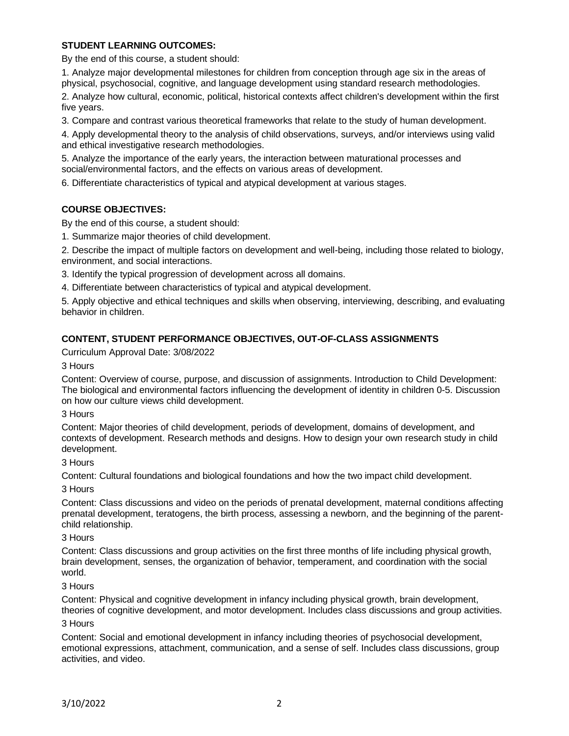## **STUDENT LEARNING OUTCOMES:**

By the end of this course, a student should:

1. Analyze major developmental milestones for children from conception through age six in the areas of physical, psychosocial, cognitive, and language development using standard research methodologies.

2. Analyze how cultural, economic, political, historical contexts affect children's development within the first five years.

3. Compare and contrast various theoretical frameworks that relate to the study of human development.

4. Apply developmental theory to the analysis of child observations, surveys, and/or interviews using valid and ethical investigative research methodologies.

5. Analyze the importance of the early years, the interaction between maturational processes and social/environmental factors, and the effects on various areas of development.

6. Differentiate characteristics of typical and atypical development at various stages.

# **COURSE OBJECTIVES:**

By the end of this course, a student should:

1. Summarize major theories of child development.

2. Describe the impact of multiple factors on development and well-being, including those related to biology, environment, and social interactions.

3. Identify the typical progression of development across all domains.

4. Differentiate between characteristics of typical and atypical development.

5. Apply objective and ethical techniques and skills when observing, interviewing, describing, and evaluating behavior in children.

## **CONTENT, STUDENT PERFORMANCE OBJECTIVES, OUT-OF-CLASS ASSIGNMENTS**

Curriculum Approval Date: 3/08/2022

3 Hours

Content: Overview of course, purpose, and discussion of assignments. Introduction to Child Development: The biological and environmental factors influencing the development of identity in children 0-5. Discussion on how our culture views child development.

#### 3 Hours

Content: Major theories of child development, periods of development, domains of development, and contexts of development. Research methods and designs. How to design your own research study in child development.

#### 3 Hours

Content: Cultural foundations and biological foundations and how the two impact child development.

3 Hours

Content: Class discussions and video on the periods of prenatal development, maternal conditions affecting prenatal development, teratogens, the birth process, assessing a newborn, and the beginning of the parentchild relationship.

#### 3 Hours

Content: Class discussions and group activities on the first three months of life including physical growth, brain development, senses, the organization of behavior, temperament, and coordination with the social world.

## 3 Hours

Content: Physical and cognitive development in infancy including physical growth, brain development, theories of cognitive development, and motor development. Includes class discussions and group activities.

## 3 Hours

Content: Social and emotional development in infancy including theories of psychosocial development, emotional expressions, attachment, communication, and a sense of self. Includes class discussions, group activities, and video.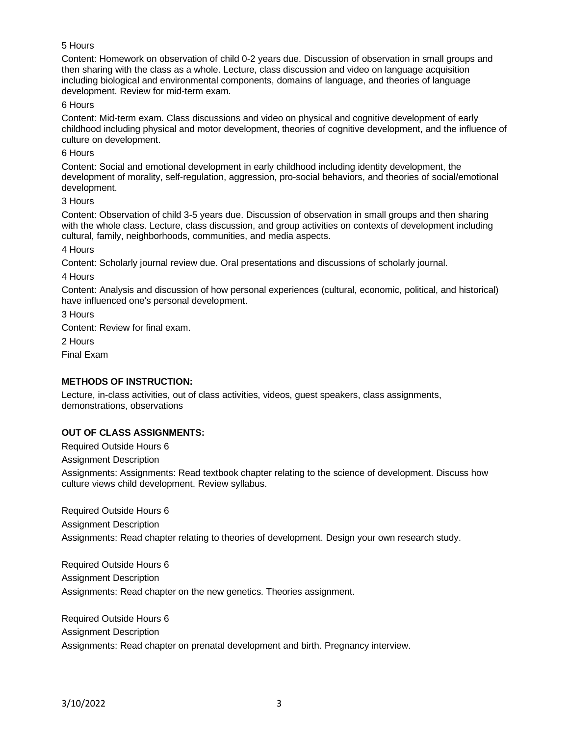## 5 Hours

Content: Homework on observation of child 0-2 years due. Discussion of observation in small groups and then sharing with the class as a whole. Lecture, class discussion and video on language acquisition including biological and environmental components, domains of language, and theories of language development. Review for mid-term exam.

#### 6 Hours

Content: Mid-term exam. Class discussions and video on physical and cognitive development of early childhood including physical and motor development, theories of cognitive development, and the influence of culture on development.

#### 6 Hours

Content: Social and emotional development in early childhood including identity development, the development of morality, self-regulation, aggression, pro-social behaviors, and theories of social/emotional development.

#### 3 Hours

Content: Observation of child 3-5 years due. Discussion of observation in small groups and then sharing with the whole class. Lecture, class discussion, and group activities on contexts of development including cultural, family, neighborhoods, communities, and media aspects.

4 Hours

Content: Scholarly journal review due. Oral presentations and discussions of scholarly journal.

4 Hours

Content: Analysis and discussion of how personal experiences (cultural, economic, political, and historical) have influenced one's personal development.

3 Hours Content: Review for final exam. 2 Hours Final Exam

## **METHODS OF INSTRUCTION:**

Lecture, in-class activities, out of class activities, videos, guest speakers, class assignments, demonstrations, observations

## **OUT OF CLASS ASSIGNMENTS:**

Required Outside Hours 6

Assignment Description

Assignments: Assignments: Read textbook chapter relating to the science of development. Discuss how culture views child development. Review syllabus.

Required Outside Hours 6 Assignment Description Assignments: Read chapter relating to theories of development. Design your own research study.

Required Outside Hours 6 Assignment Description Assignments: Read chapter on the new genetics. Theories assignment.

Required Outside Hours 6 Assignment Description Assignments: Read chapter on prenatal development and birth. Pregnancy interview.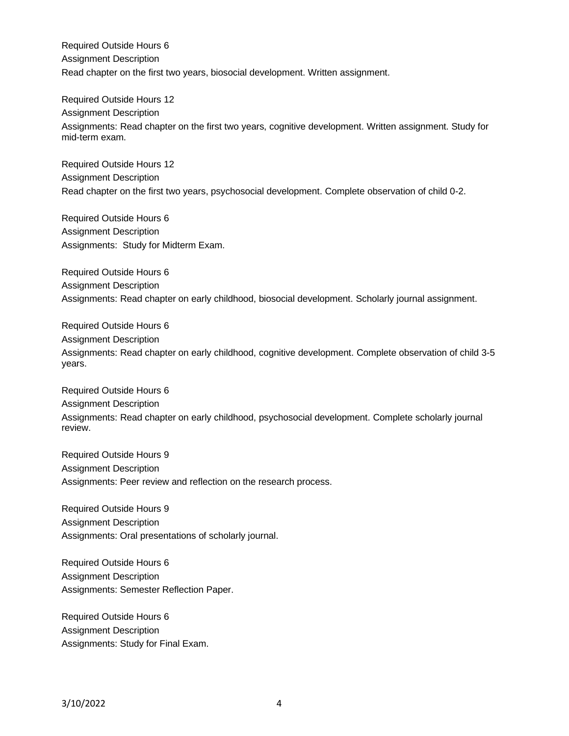Required Outside Hours 6 Assignment Description Read chapter on the first two years, biosocial development. Written assignment.

Required Outside Hours 12 Assignment Description Assignments: Read chapter on the first two years, cognitive development. Written assignment. Study for mid-term exam.

Required Outside Hours 12 Assignment Description Read chapter on the first two years, psychosocial development. Complete observation of child 0-2.

Required Outside Hours 6 Assignment Description Assignments: Study for Midterm Exam.

Required Outside Hours 6 Assignment Description Assignments: Read chapter on early childhood, biosocial development. Scholarly journal assignment.

Required Outside Hours 6 Assignment Description Assignments: Read chapter on early childhood, cognitive development. Complete observation of child 3-5 years.

Required Outside Hours 6 Assignment Description Assignments: Read chapter on early childhood, psychosocial development. Complete scholarly journal review.

Required Outside Hours 9 Assignment Description Assignments: Peer review and reflection on the research process.

Required Outside Hours 9 Assignment Description Assignments: Oral presentations of scholarly journal.

Required Outside Hours 6 Assignment Description Assignments: Semester Reflection Paper.

Required Outside Hours 6 Assignment Description Assignments: Study for Final Exam.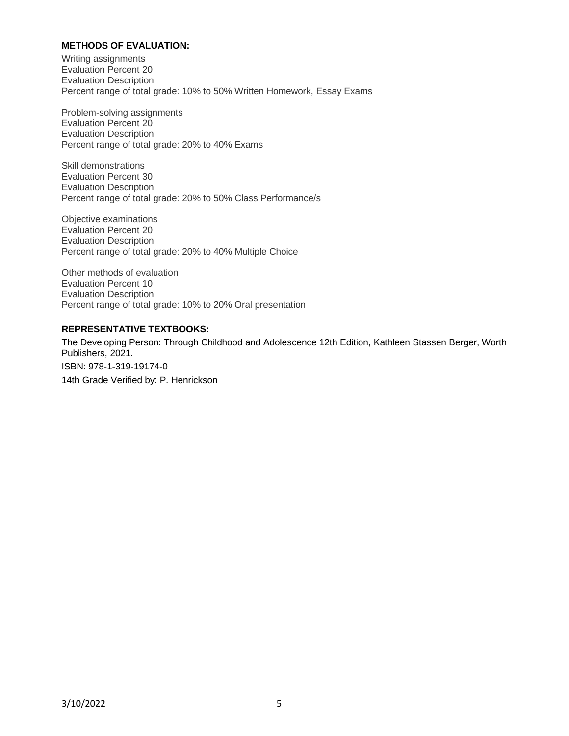## **METHODS OF EVALUATION:**

Writing assignments Evaluation Percent 20 Evaluation Description Percent range of total grade: 10% to 50% Written Homework, Essay Exams

Problem-solving assignments Evaluation Percent 20 Evaluation Description Percent range of total grade: 20% to 40% Exams

Skill demonstrations Evaluation Percent 30 Evaluation Description Percent range of total grade: 20% to 50% Class Performance/s

Objective examinations Evaluation Percent 20 Evaluation Description Percent range of total grade: 20% to 40% Multiple Choice

Other methods of evaluation Evaluation Percent 10 Evaluation Description Percent range of total grade: 10% to 20% Oral presentation

## **REPRESENTATIVE TEXTBOOKS:**

The Developing Person: Through Childhood and Adolescence 12th Edition, Kathleen Stassen Berger, Worth Publishers, 2021. ISBN: 978-1-319-19174-0 14th Grade Verified by: P. Henrickson